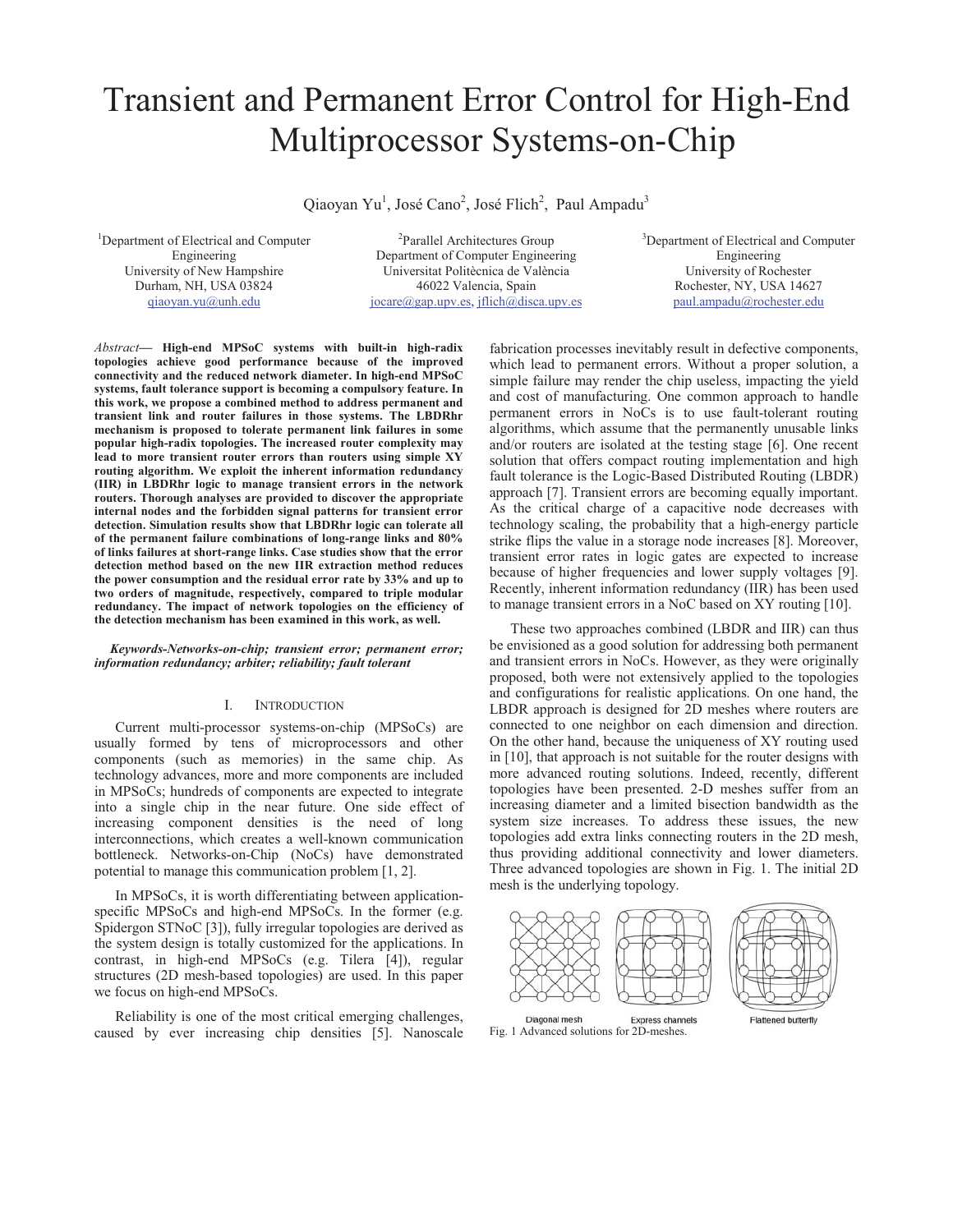# Transient and Permanent Error Control for High-End Multiprocessor Systems-on-Chip

Qiaoyan Yu<sup>1</sup>, José Cano<sup>2</sup>, José Flich<sup>2</sup>, Paul Ampadu<sup>3</sup>

<sup>1</sup>Department of Electrical and Computer Engineering University of New Hampshire Durham, NH, USA 03824 qiaoyan.yu@unh.edu

<sup>2</sup>Parallel Architectures Group Department of Computer Engineering Universitat Politècnica de València 46022 Valencia, Spain jocare@gap.upv.es, jflich@disca.upv.es <sup>3</sup>Department of Electrical and Computer Engineering University of Rochester Rochester, NY, USA 14627 paul.ampadu@rochester.edu

*Abstract***— High-end MPSoC systems with built-in high-radix topologies achieve good performance because of the improved connectivity and the reduced network diameter. In high-end MPSoC systems, fault tolerance support is becoming a compulsory feature. In this work, we propose a combined method to address permanent and transient link and router failures in those systems. The LBDRhr mechanism is proposed to tolerate permanent link failures in some popular high-radix topologies. The increased router complexity may lead to more transient router errors than routers using simple XY routing algorithm. We exploit the inherent information redundancy (IIR) in LBDRhr logic to manage transient errors in the network routers. Thorough analyses are provided to discover the appropriate internal nodes and the forbidden signal patterns for transient error detection. Simulation results show that LBDRhr logic can tolerate all of the permanent failure combinations of long-range links and 80% of links failures at short-range links. Case studies show that the error detection method based on the new IIR extraction method reduces the power consumption and the residual error rate by 33% and up to two orders of magnitude, respectively, compared to triple modular redundancy. The impact of network topologies on the efficiency of the detection mechanism has been examined in this work, as well.** 

*Keywords-Networks-on-chip; transient error; permanent error; information redundancy; arbiter; reliability; fault tolerant*

#### I. INTRODUCTION

Current multi-processor systems-on-chip (MPSoCs) are usually formed by tens of microprocessors and other components (such as memories) in the same chip. As technology advances, more and more components are included in MPSoCs; hundreds of components are expected to integrate into a single chip in the near future. One side effect of increasing component densities is the need of long interconnections, which creates a well-known communication bottleneck. Networks-on-Chip (NoCs) have demonstrated potential to manage this communication problem [1, 2].

In MPSoCs, it is worth differentiating between applicationspecific MPSoCs and high-end MPSoCs. In the former (e.g. Spidergon STNoC [3]), fully irregular topologies are derived as the system design is totally customized for the applications. In contrast, in high-end MPSoCs (e.g. Tilera [4]), regular structures (2D mesh-based topologies) are used. In this paper we focus on high-end MPSoCs.

Reliability is one of the most critical emerging challenges, caused by ever increasing chip densities [5]. Nanoscale fabrication processes inevitably result in defective components, which lead to permanent errors. Without a proper solution, a simple failure may render the chip useless, impacting the yield and cost of manufacturing. One common approach to handle permanent errors in NoCs is to use fault-tolerant routing algorithms, which assume that the permanently unusable links and/or routers are isolated at the testing stage [6]. One recent solution that offers compact routing implementation and high fault tolerance is the Logic-Based Distributed Routing (LBDR) approach [7]. Transient errors are becoming equally important. As the critical charge of a capacitive node decreases with technology scaling, the probability that a high-energy particle strike flips the value in a storage node increases [8]. Moreover, transient error rates in logic gates are expected to increase because of higher frequencies and lower supply voltages [9]. Recently, inherent information redundancy (IIR) has been used to manage transient errors in a NoC based on XY routing [10].

These two approaches combined (LBDR and IIR) can thus be envisioned as a good solution for addressing both permanent and transient errors in NoCs. However, as they were originally proposed, both were not extensively applied to the topologies and configurations for realistic applications. On one hand, the LBDR approach is designed for 2D meshes where routers are connected to one neighbor on each dimension and direction. On the other hand, because the uniqueness of XY routing used in [10], that approach is not suitable for the router designs with more advanced routing solutions. Indeed, recently, different topologies have been presented. 2-D meshes suffer from an increasing diameter and a limited bisection bandwidth as the system size increases. To address these issues, the new topologies add extra links connecting routers in the 2D mesh, thus providing additional connectivity and lower diameters. Three advanced topologies are shown in Fig. 1. The initial 2D mesh is the underlying topology.



Fig. 1 Advanced solutions for 2D-meshes.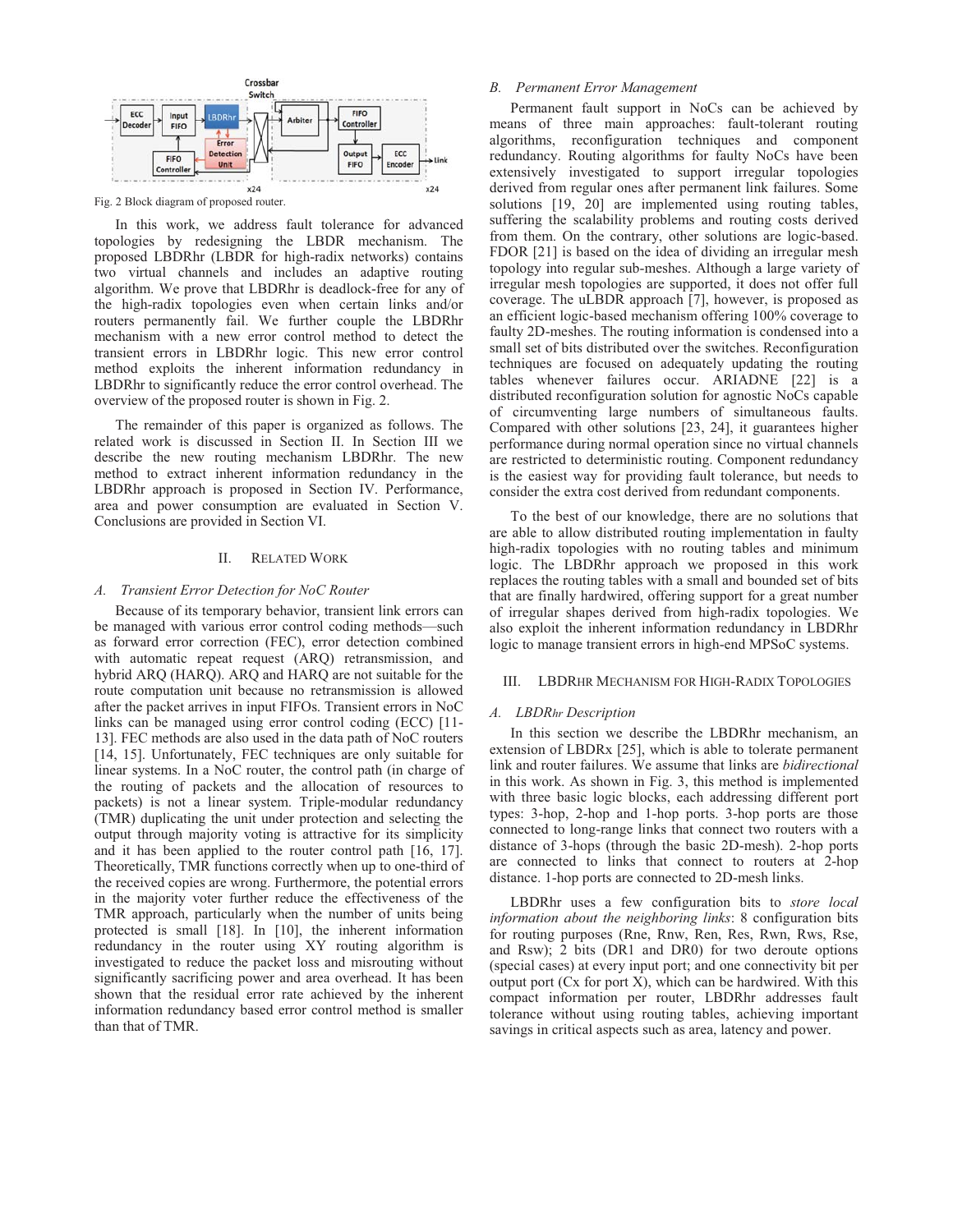

Fig. 2 Block diagram of proposed router.

In this work, we address fault tolerance for advanced topologies by redesigning the LBDR mechanism. The proposed LBDRhr (LBDR for high-radix networks) contains two virtual channels and includes an adaptive routing algorithm. We prove that LBDRhr is deadlock-free for any of the high-radix topologies even when certain links and/or routers permanently fail. We further couple the LBDRhr mechanism with a new error control method to detect the transient errors in LBDRhr logic. This new error control method exploits the inherent information redundancy in LBDRhr to significantly reduce the error control overhead. The overview of the proposed router is shown in Fig. 2.

The remainder of this paper is organized as follows. The related work is discussed in Section II. In Section III we describe the new routing mechanism LBDRhr. The new method to extract inherent information redundancy in the LBDRhr approach is proposed in Section IV. Performance, area and power consumption are evaluated in Section V. Conclusions are provided in Section VI.

## II. RELATED WORK

#### *A. Transient Error Detection for NoC Router*

Because of its temporary behavior, transient link errors can be managed with various error control coding methods—such as forward error correction (FEC), error detection combined with automatic repeat request (ARQ) retransmission, and hybrid ARQ (HARQ). ARQ and HARQ are not suitable for the route computation unit because no retransmission is allowed after the packet arrives in input FIFOs. Transient errors in NoC links can be managed using error control coding (ECC) [11- 13]. FEC methods are also used in the data path of NoC routers [14, 15]. Unfortunately, FEC techniques are only suitable for linear systems. In a NoC router, the control path (in charge of the routing of packets and the allocation of resources to packets) is not a linear system. Triple-modular redundancy (TMR) duplicating the unit under protection and selecting the output through majority voting is attractive for its simplicity and it has been applied to the router control path [16, 17]. Theoretically, TMR functions correctly when up to one-third of the received copies are wrong. Furthermore, the potential errors in the majority voter further reduce the effectiveness of the TMR approach, particularly when the number of units being protected is small [18]. In [10], the inherent information redundancy in the router using XY routing algorithm is investigated to reduce the packet loss and misrouting without significantly sacrificing power and area overhead. It has been shown that the residual error rate achieved by the inherent information redundancy based error control method is smaller than that of TMR.

#### *B. Permanent Error Management*

Permanent fault support in NoCs can be achieved by means of three main approaches: fault-tolerant routing algorithms, reconfiguration techniques and component redundancy. Routing algorithms for faulty NoCs have been extensively investigated to support irregular topologies derived from regular ones after permanent link failures. Some solutions [19, 20] are implemented using routing tables, suffering the scalability problems and routing costs derived from them. On the contrary, other solutions are logic-based. FDOR [21] is based on the idea of dividing an irregular mesh topology into regular sub-meshes. Although a large variety of irregular mesh topologies are supported, it does not offer full coverage. The uLBDR approach [7], however, is proposed as an efficient logic-based mechanism offering 100% coverage to faulty 2D-meshes. The routing information is condensed into a small set of bits distributed over the switches. Reconfiguration techniques are focused on adequately updating the routing tables whenever failures occur. ARIADNE [22] is a distributed reconfiguration solution for agnostic NoCs capable of circumventing large numbers of simultaneous faults. Compared with other solutions [23, 24], it guarantees higher performance during normal operation since no virtual channels are restricted to deterministic routing. Component redundancy is the easiest way for providing fault tolerance, but needs to consider the extra cost derived from redundant components.

To the best of our knowledge, there are no solutions that are able to allow distributed routing implementation in faulty high-radix topologies with no routing tables and minimum logic. The LBDRhr approach we proposed in this work replaces the routing tables with a small and bounded set of bits that are finally hardwired, offering support for a great number of irregular shapes derived from high-radix topologies. We also exploit the inherent information redundancy in LBDRhr logic to manage transient errors in high-end MPSoC systems.

#### III. LBDRHR MECHANISM FOR HIGH-RADIX TOPOLOGIES

#### *A. LBDRhr Description*

In this section we describe the LBDRhr mechanism, an extension of LBDRx [25], which is able to tolerate permanent link and router failures. We assume that links are *bidirectional* in this work. As shown in Fig. 3, this method is implemented with three basic logic blocks, each addressing different port types: 3-hop, 2-hop and 1-hop ports. 3-hop ports are those connected to long-range links that connect two routers with a distance of 3-hops (through the basic 2D-mesh). 2-hop ports are connected to links that connect to routers at 2-hop distance. 1-hop ports are connected to 2D-mesh links.

LBDRhr uses a few configuration bits to *store local information about the neighboring links*: 8 configuration bits for routing purposes (Rne, Rnw, Ren, Res, Rwn, Rws, Rse, and Rsw); 2 bits (DR1 and DR0) for two deroute options (special cases) at every input port; and one connectivity bit per output port  $(Cx$  for port  $X$ ), which can be hardwired. With this compact information per router, LBDRhr addresses fault tolerance without using routing tables, achieving important savings in critical aspects such as area, latency and power.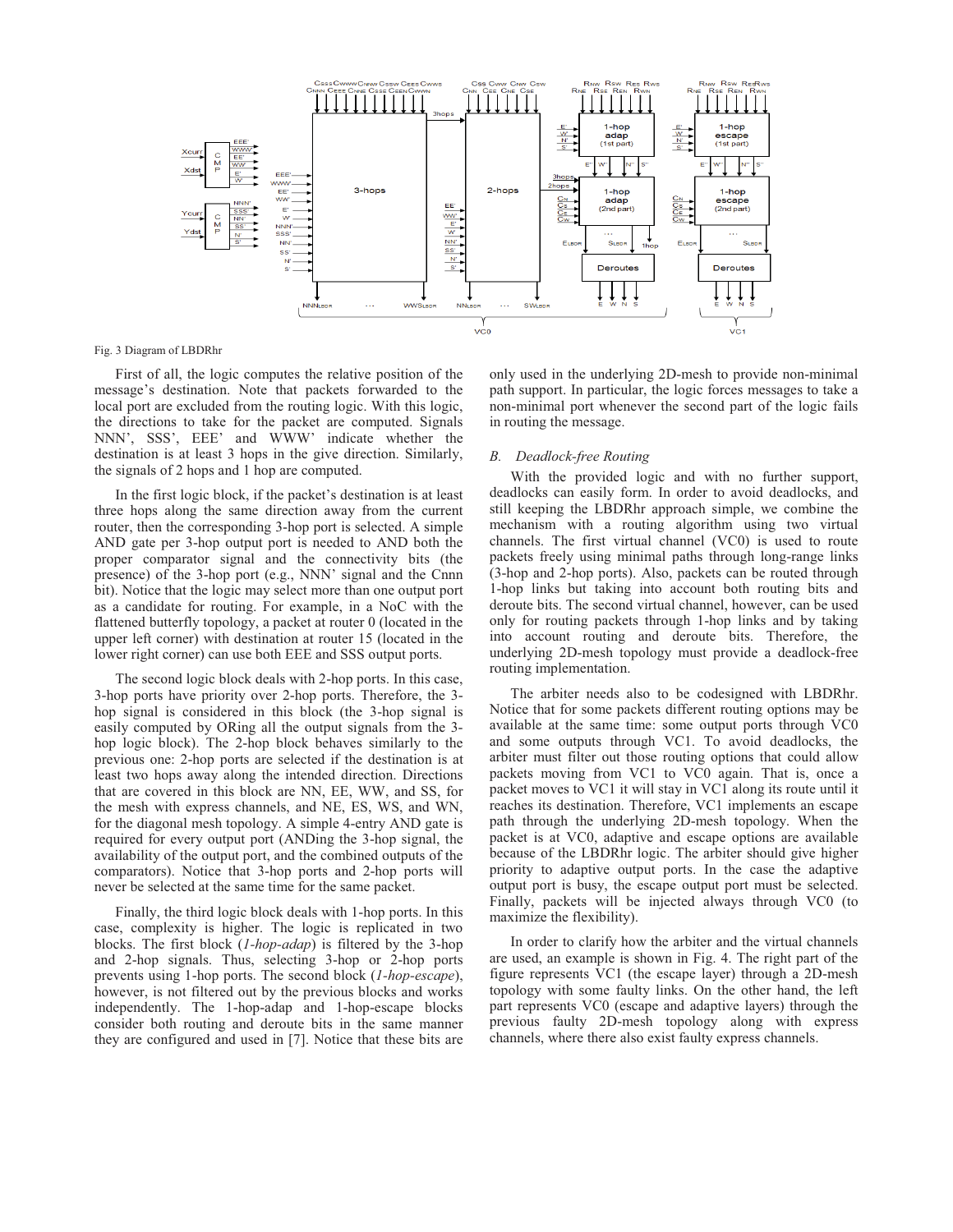

Fig. 3 Diagram of LBDRhr

First of all, the logic computes the relative position of the message's destination. Note that packets forwarded to the local port are excluded from the routing logic. With this logic, the directions to take for the packet are computed. Signals NNN', SSS', EEE' and WWW' indicate whether the destination is at least 3 hops in the give direction. Similarly, the signals of 2 hops and 1 hop are computed.

In the first logic block, if the packet's destination is at least three hops along the same direction away from the current router, then the corresponding 3-hop port is selected. A simple AND gate per 3-hop output port is needed to AND both the proper comparator signal and the connectivity bits (the presence) of the 3-hop port (e.g., NNN' signal and the Cnnn bit). Notice that the logic may select more than one output port as a candidate for routing. For example, in a NoC with the flattened butterfly topology, a packet at router 0 (located in the upper left corner) with destination at router 15 (located in the lower right corner) can use both EEE and SSS output ports.

The second logic block deals with 2-hop ports. In this case, 3-hop ports have priority over 2-hop ports. Therefore, the 3 hop signal is considered in this block (the 3-hop signal is easily computed by ORing all the output signals from the 3 hop logic block). The 2-hop block behaves similarly to the previous one: 2-hop ports are selected if the destination is at least two hops away along the intended direction. Directions that are covered in this block are NN, EE, WW, and SS, for the mesh with express channels, and NE, ES, WS, and WN, for the diagonal mesh topology. A simple 4-entry AND gate is required for every output port (ANDing the 3-hop signal, the availability of the output port, and the combined outputs of the comparators). Notice that 3-hop ports and 2-hop ports will never be selected at the same time for the same packet.

Finally, the third logic block deals with 1-hop ports. In this case, complexity is higher. The logic is replicated in two blocks. The first block (*1-hop-adap*) is filtered by the 3-hop and 2-hop signals. Thus, selecting 3-hop or 2-hop ports prevents using 1-hop ports. The second block (*1-hop-escape*), however, is not filtered out by the previous blocks and works independently. The 1-hop-adap and 1-hop-escape blocks consider both routing and deroute bits in the same manner they are configured and used in [7]. Notice that these bits are

only used in the underlying 2D-mesh to provide non-minimal path support. In particular, the logic forces messages to take a non-minimal port whenever the second part of the logic fails in routing the message.

## *B. Deadlock-free Routing*

With the provided logic and with no further support, deadlocks can easily form. In order to avoid deadlocks, and still keeping the LBDRhr approach simple, we combine the mechanism with a routing algorithm using two virtual channels. The first virtual channel (VC0) is used to route packets freely using minimal paths through long-range links (3-hop and 2-hop ports). Also, packets can be routed through 1-hop links but taking into account both routing bits and deroute bits. The second virtual channel, however, can be used only for routing packets through 1-hop links and by taking into account routing and deroute bits. Therefore, the underlying 2D-mesh topology must provide a deadlock-free routing implementation.

The arbiter needs also to be codesigned with LBDRhr. Notice that for some packets different routing options may be available at the same time: some output ports through VC0 and some outputs through VC1. To avoid deadlocks, the arbiter must filter out those routing options that could allow packets moving from VC1 to VC0 again. That is, once a packet moves to VC1 it will stay in VC1 along its route until it reaches its destination. Therefore, VC1 implements an escape path through the underlying 2D-mesh topology. When the packet is at VC0, adaptive and escape options are available because of the LBDRhr logic. The arbiter should give higher priority to adaptive output ports. In the case the adaptive output port is busy, the escape output port must be selected. Finally, packets will be injected always through VC0 (to maximize the flexibility).

In order to clarify how the arbiter and the virtual channels are used, an example is shown in Fig. 4. The right part of the figure represents VC1 (the escape layer) through a 2D-mesh topology with some faulty links. On the other hand, the left part represents VC0 (escape and adaptive layers) through the previous faulty 2D-mesh topology along with express channels, where there also exist faulty express channels.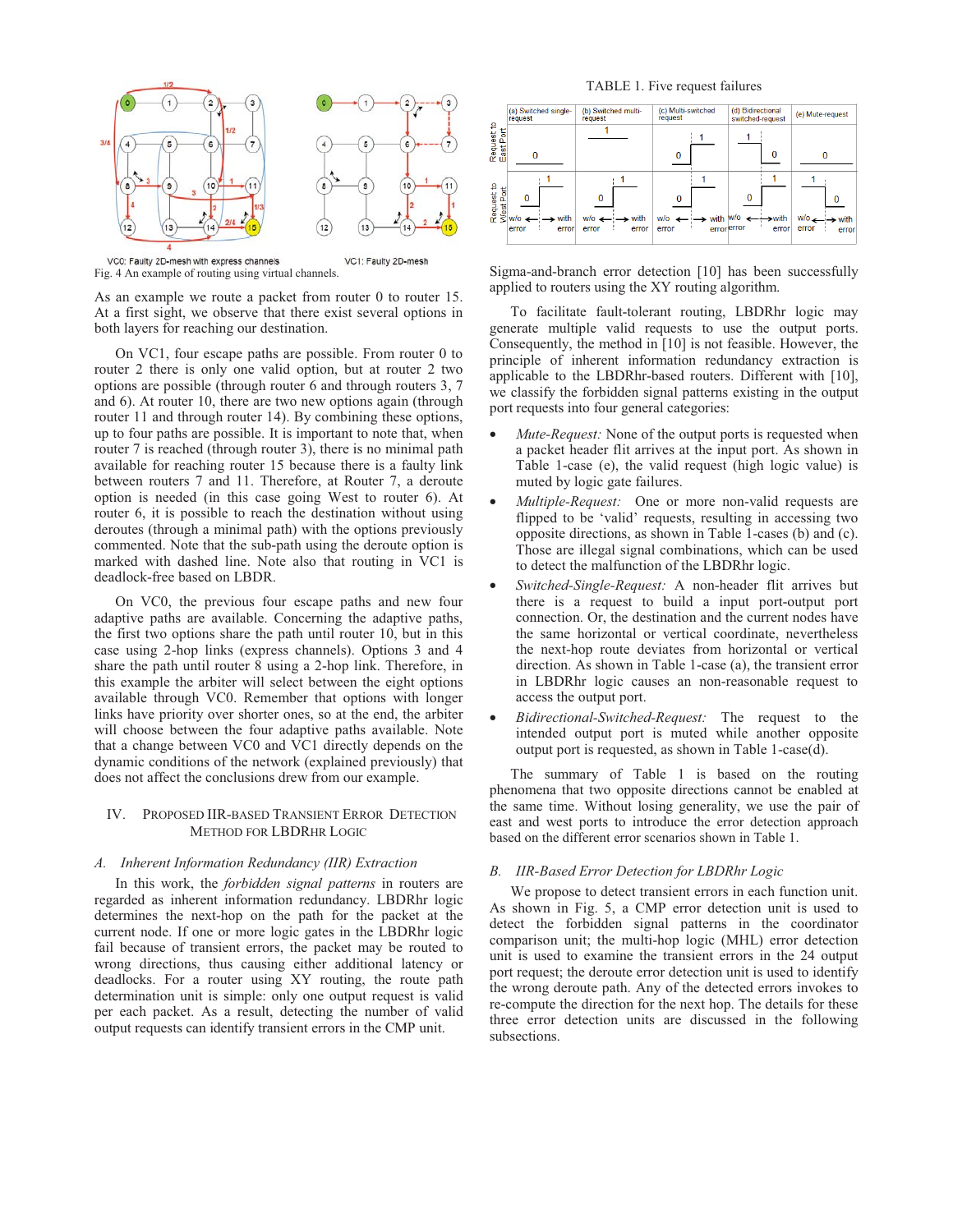

VC0: Faulty 2D-mesh with express channels VC1: Faulty 2D-mesh Fig. 4 An example of routing using virtual channels.

As an example we route a packet from router 0 to router 15. At a first sight, we observe that there exist several options in both layers for reaching our destination.

On VC1, four escape paths are possible. From router 0 to router 2 there is only one valid option, but at router 2 two options are possible (through router 6 and through routers 3, 7 and 6). At router 10, there are two new options again (through router 11 and through router 14). By combining these options, up to four paths are possible. It is important to note that, when router 7 is reached (through router 3), there is no minimal path available for reaching router 15 because there is a faulty link between routers 7 and 11. Therefore, at Router 7, a deroute option is needed (in this case going West to router 6). At router 6, it is possible to reach the destination without using deroutes (through a minimal path) with the options previously commented. Note that the sub-path using the deroute option is marked with dashed line. Note also that routing in VC1 is deadlock-free based on LBDR.

On VC0, the previous four escape paths and new four adaptive paths are available. Concerning the adaptive paths, the first two options share the path until router 10, but in this case using 2-hop links (express channels). Options 3 and 4 share the path until router 8 using a 2-hop link. Therefore, in this example the arbiter will select between the eight options available through VC0. Remember that options with longer links have priority over shorter ones, so at the end, the arbiter will choose between the four adaptive paths available. Note that a change between VC0 and VC1 directly depends on the dynamic conditions of the network (explained previously) that does not affect the conclusions drew from our example.

#### IV. PROPOSED IIR-BASED TRANSIENT ERROR DETECTION METHOD FOR LBDRHR LOGIC

# *A. Inherent Information Redundancy (IIR) Extraction*

In this work, the *forbidden signal patterns* in routers are regarded as inherent information redundancy. LBDRhr logic determines the next-hop on the path for the packet at the current node. If one or more logic gates in the LBDRhr logic fail because of transient errors, the packet may be routed to wrong directions, thus causing either additional latency or deadlocks. For a router using XY routing, the route path determination unit is simple: only one output request is valid per each packet. As a result, detecting the number of valid output requests can identify transient errors in the CMP unit.

TABLE 1. Five request failures



Sigma-and-branch error detection [10] has been successfully applied to routers using the XY routing algorithm.

To facilitate fault-tolerant routing, LBDRhr logic may generate multiple valid requests to use the output ports. Consequently, the method in [10] is not feasible. However, the principle of inherent information redundancy extraction is applicable to the LBDRhr-based routers. Different with [10], we classify the forbidden signal patterns existing in the output port requests into four general categories:

- Mute-Request: None of the output ports is requested when a packet header flit arrives at the input port. As shown in Table 1-case (e), the valid request (high logic value) is muted by logic gate failures.
- *Multiple-Request:* One or more non-valid requests are flipped to be 'valid' requests, resulting in accessing two opposite directions, as shown in Table 1-cases (b) and (c). Those are illegal signal combinations, which can be used to detect the malfunction of the LBDRhr logic.
- *Switched-Single-Request:* A non-header flit arrives but there is a request to build a input port-output port connection. Or, the destination and the current nodes have the same horizontal or vertical coordinate, nevertheless the next-hop route deviates from horizontal or vertical direction. As shown in Table 1-case (a), the transient error in LBDRhr logic causes an non-reasonable request to access the output port.
- *Bidirectional-Switched-Request:* The request to the intended output port is muted while another opposite output port is requested, as shown in Table 1-case(d).

The summary of Table 1 is based on the routing phenomena that two opposite directions cannot be enabled at the same time. Without losing generality, we use the pair of east and west ports to introduce the error detection approach based on the different error scenarios shown in Table 1.

# *B. IIR-Based Error Detection for LBDRhr Logic*

We propose to detect transient errors in each function unit. As shown in Fig. 5, a CMP error detection unit is used to detect the forbidden signal patterns in the coordinator comparison unit; the multi-hop logic (MHL) error detection unit is used to examine the transient errors in the 24 output port request; the deroute error detection unit is used to identify the wrong deroute path. Any of the detected errors invokes to re-compute the direction for the next hop. The details for these three error detection units are discussed in the following subsections.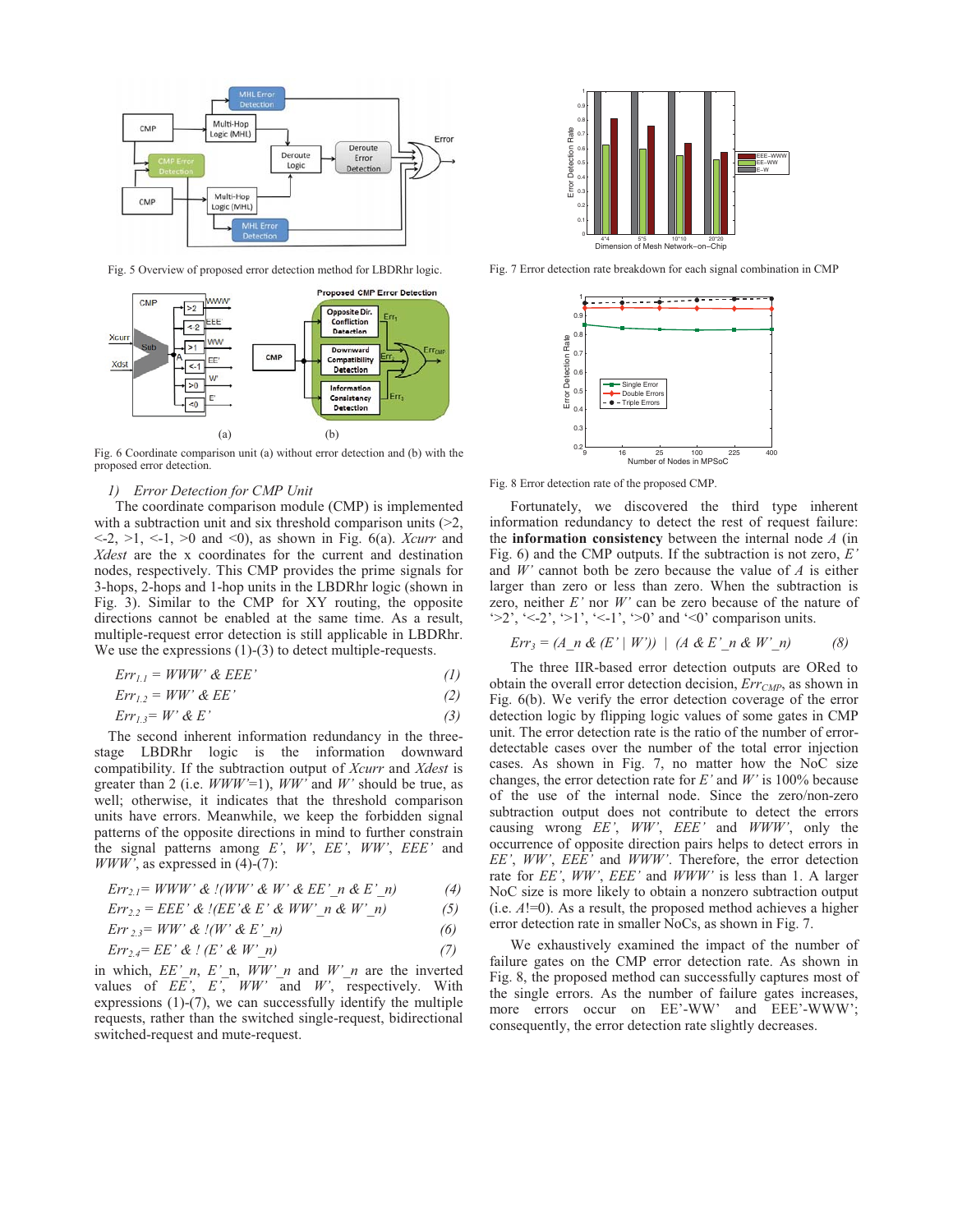

Fig. 5 Overview of proposed error detection method for LBDRhr logic.



Fig. 6 Coordinate comparison unit (a) without error detection and (b) with the proposed error detection.

#### *1) Error Detection for CMP Unit*

The coordinate comparison module (CMP) is implemented with a subtraction unit and six threshold comparison units (>2,  $\langle -2, 2, 1, 2, 0 \rangle$  and  $\langle 0, 0 \rangle$ , as shown in Fig. 6(a). *Xcurr* and *Xdest* are the x coordinates for the current and destination nodes, respectively. This CMP provides the prime signals for 3-hops, 2-hops and 1-hop units in the LBDRhr logic (shown in Fig. 3). Similar to the CMP for XY routing, the opposite directions cannot be enabled at the same time. As a result, multiple-request error detection is still applicable in LBDRhr. We use the expressions (1)-(3) to detect multiple-requests.

$$
Err_{1.1} = WWW' \& EEE'
$$
 (1)

$$
Err_{1,2} = WW' \& EE'
$$
 (2)

$$
Err_{1.3} = W' \& E'
$$
 (3)

The second inherent information redundancy in the threestage LBDRhr logic is the information downward compatibility. If the subtraction output of *Xcurr* and *Xdest* is greater than 2 (i.e. *WWW'*=1), *WW'* and *W'* should be true, as well; otherwise, it indicates that the threshold comparison units have errors. Meanwhile, we keep the forbidden signal patterns of the opposite directions in mind to further constrain the signal patterns among *E'*, *W'*, *EE'*, *WW'*, *EEE'* and *WWW'*, as expressed in (4)-(7):

$$
Err_{2,I} = WWW' \& l(WW' \& W' \& EE' \n n \& E' \n n)
$$
\n
$$
\tag{4}
$$

$$
Err_{2,2} = EEE' \& l(EE' & E' \& WW' \n n \& W' \n n)
$$
 (5)

$$
Err_{2.3} = WW' \& \langle (W' \& E' \_n) \rangle
$$
 (6)

$$
Err_{2,4} = EE' \& l \ (E' \& W'_{n}) \tag{7}
$$

in which, *EE'\_n*, *E'\_*n, *WW'\_n* and *W'\_n* are the inverted values of *EE'*, *E'*, *WW'* and *W'*, respectively. With expressions (1)-(7), we can successfully identify the multiple requests, rather than the switched single-request, bidirectional switched-request and mute-request.



Fig. 7 Error detection rate breakdown for each signal combination in CMP



Fig. 8 Error detection rate of the proposed CMP.

Fortunately, we discovered the third type inherent information redundancy to detect the rest of request failure: the **information consistency** between the internal node *A* (in Fig. 6) and the CMP outputs. If the subtraction is not zero, *E'* and *W'* cannot both be zero because the value of *A* is either larger than zero or less than zero. When the subtraction is zero, neither *E'* nor *W'* can be zero because of the nature of '>2', '<-2', '>1', '<-1', '>0' and '<0' comparison units.

$$
Err_3 = (A_n \& (E' \mid W')) \mid (A \& E'_n \& W'_n) \tag{8}
$$

The three IIR-based error detection outputs are ORed to obtain the overall error detection decision, *Err<sub>CMP</sub>*, as shown in Fig. 6(b). We verify the error detection coverage of the error detection logic by flipping logic values of some gates in CMP unit. The error detection rate is the ratio of the number of errordetectable cases over the number of the total error injection cases. As shown in Fig. 7, no matter how the NoC size changes, the error detection rate for *E'* and *W'* is 100% because of the use of the internal node. Since the zero/non-zero subtraction output does not contribute to detect the errors causing wrong *EE'*, *WW'*, *EEE'* and *WWW'*, only the occurrence of opposite direction pairs helps to detect errors in *EE'*, *WW'*, *EEE'* and *WWW'*. Therefore, the error detection rate for *EE'*, *WW'*, *EEE'* and *WWW'* is less than 1. A larger NoC size is more likely to obtain a nonzero subtraction output (i.e. *A*!=0). As a result, the proposed method achieves a higher error detection rate in smaller NoCs, as shown in Fig. 7.

We exhaustively examined the impact of the number of failure gates on the CMP error detection rate. As shown in Fig. 8, the proposed method can successfully captures most of the single errors. As the number of failure gates increases, more errors occur on EE'-WW' and EEE'-WWW'; consequently, the error detection rate slightly decreases.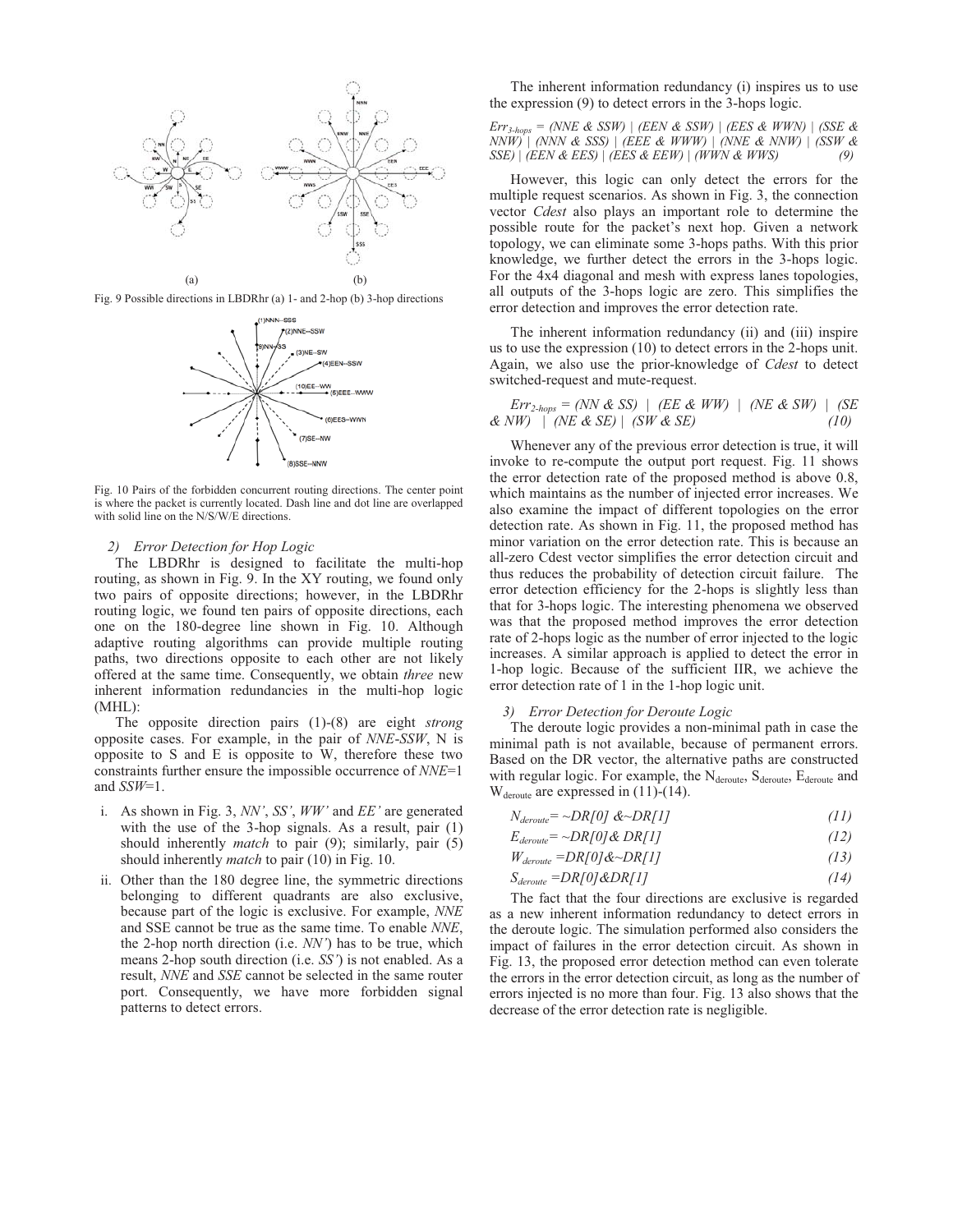

Fig. 9 Possible directions in LBDRhr (a) 1- and 2-hop (b) 3-hop directions



Fig. 10 Pairs of the forbidden concurrent routing directions. The center point is where the packet is currently located. Dash line and dot line are overlapped with solid line on the N/S/W/E directions.

#### *2) Error Detection for Hop Logic*

The LBDRhr is designed to facilitate the multi-hop routing, as shown in Fig. 9. In the XY routing, we found only two pairs of opposite directions; however, in the LBDRhr routing logic, we found ten pairs of opposite directions, each one on the 180-degree line shown in Fig. 10. Although adaptive routing algorithms can provide multiple routing paths, two directions opposite to each other are not likely offered at the same time. Consequently, we obtain *three* new inherent information redundancies in the multi-hop logic (MHL):

The opposite direction pairs (1)-(8) are eight *strong* opposite cases. For example, in the pair of *NNE*-*SSW*, N is opposite to S and E is opposite to W, therefore these two constraints further ensure the impossible occurrence of *NNE*=1 and *SSW*=1.

- i. As shown in Fig. 3, *NN'*, *SS'*, *WW'* and *EE'* are generated with the use of the 3-hop signals. As a result, pair (1) should inherently *match* to pair (9); similarly, pair (5) should inherently *match* to pair (10) in Fig. 10.
- ii. Other than the 180 degree line, the symmetric directions belonging to different quadrants are also exclusive, because part of the logic is exclusive. For example, *NNE* and SSE cannot be true as the same time. To enable *NNE*, the 2-hop north direction (i.e. *NN'*) has to be true, which means 2-hop south direction (i.e. *SS'*) is not enabled. As a result, *NNE* and *SSE* cannot be selected in the same router port. Consequently, we have more forbidden signal patterns to detect errors.

The inherent information redundancy (i) inspires us to use the expression (9) to detect errors in the 3-hops logic.

 $Err_{3-hobs} = (NNE \& SSW)$  | (EEN  $\& SSW$ ) | (EES  $\& WWN$ ) | (SSE  $\&$ *NNW) | (NNN & SSS) | (EEE & WWW) | (NNE & NNW) | (SSW & SSE)* | (*EEN & EES*) | (*EES & EEW*) | (*WWN & WWS*)

However, this logic can only detect the errors for the multiple request scenarios. As shown in Fig. 3, the connection vector *Cdest* also plays an important role to determine the possible route for the packet's next hop. Given a network topology, we can eliminate some 3-hops paths. With this prior knowledge, we further detect the errors in the 3-hops logic. For the 4x4 diagonal and mesh with express lanes topologies, all outputs of the 3-hops logic are zero. This simplifies the error detection and improves the error detection rate.

The inherent information redundancy (ii) and (iii) inspire us to use the expression (10) to detect errors in the 2-hops unit. Again, we also use the prior-knowledge of *Cdest* to detect switched-request and mute-request.

$$
Err_{2-hops} = (NN \& SS) \mid (EE \& WW) \mid (NE \& SW) \mid (SE \& NW) \mid (NE \& SE) \mid (SW \& SE) \mid (SW \& SE) \tag{10}
$$

Whenever any of the previous error detection is true, it will invoke to re-compute the output port request. Fig. 11 shows the error detection rate of the proposed method is above 0.8, which maintains as the number of injected error increases. We also examine the impact of different topologies on the error detection rate. As shown in Fig. 11, the proposed method has minor variation on the error detection rate. This is because an all-zero Cdest vector simplifies the error detection circuit and thus reduces the probability of detection circuit failure. The error detection efficiency for the 2-hops is slightly less than that for 3-hops logic. The interesting phenomena we observed was that the proposed method improves the error detection rate of 2-hops logic as the number of error injected to the logic increases. A similar approach is applied to detect the error in 1-hop logic. Because of the sufficient IIR, we achieve the error detection rate of 1 in the 1-hop logic unit.

#### *3) Error Detection for Deroute Logic*

The deroute logic provides a non-minimal path in case the minimal path is not available, because of permanent errors. Based on the DR vector, the alternative paths are constructed with regular logic. For example, the  $N_{\text{deroute}}, S_{\text{deroute}}, E_{\text{deroute}}$  and  $W_{\text{deroute}}$  are expressed in (11)-(14).

$$
N_{\text{deroute}} = \sim DR[0] & \sim DR[1] \tag{11}
$$

$$
E_{\text{deroute}} = \sim DR[0] \& DR[1] \tag{12}
$$

$$
W_{\text{deroute}} = DR[0]{\&~}DR[1] \tag{13}
$$

$$
S_{\text{deroute}} = DR[0] \& DR[1] \tag{14}
$$

The fact that the four directions are exclusive is regarded as a new inherent information redundancy to detect errors in the deroute logic. The simulation performed also considers the impact of failures in the error detection circuit. As shown in Fig. 13, the proposed error detection method can even tolerate the errors in the error detection circuit, as long as the number of errors injected is no more than four. Fig. 13 also shows that the decrease of the error detection rate is negligible.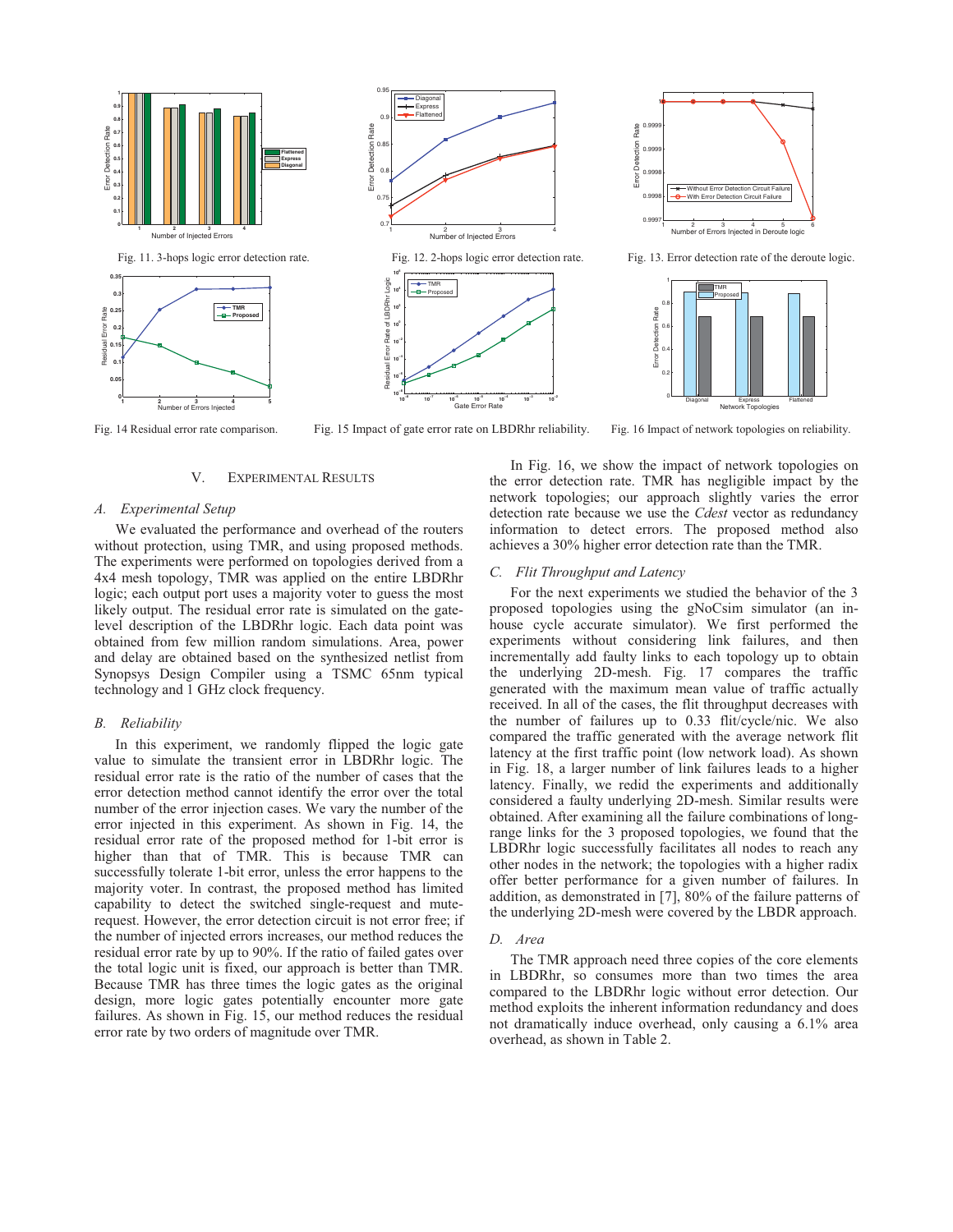







Fig. 14 Residual error rate comparison. Fig. 15 Impact of gate error rate on LBDRhr reliability. Fig. 16 Impact of network topologies on reliability.

# V. EXPERIMENTAL RESULTS

#### *A. Experimental Setup*

We evaluated the performance and overhead of the routers without protection, using TMR, and using proposed methods. The experiments were performed on topologies derived from a 4x4 mesh topology, TMR was applied on the entire LBDRhr logic; each output port uses a majority voter to guess the most likely output. The residual error rate is simulated on the gatelevel description of the LBDRhr logic. Each data point was obtained from few million random simulations. Area, power and delay are obtained based on the synthesized netlist from Synopsys Design Compiler using a TSMC 65nm typical technology and 1 GHz clock frequency.

#### *B. Reliability*

In this experiment, we randomly flipped the logic gate value to simulate the transient error in LBDRhr logic. The residual error rate is the ratio of the number of cases that the error detection method cannot identify the error over the total number of the error injection cases. We vary the number of the error injected in this experiment. As shown in Fig. 14, the residual error rate of the proposed method for 1-bit error is higher than that of TMR. This is because TMR can successfully tolerate 1-bit error, unless the error happens to the majority voter. In contrast, the proposed method has limited capability to detect the switched single-request and muterequest. However, the error detection circuit is not error free; if the number of injected errors increases, our method reduces the residual error rate by up to 90%. If the ratio of failed gates over the total logic unit is fixed, our approach is better than TMR. Because TMR has three times the logic gates as the original design, more logic gates potentially encounter more gate failures. As shown in Fig. 15, our method reduces the residual error rate by two orders of magnitude over TMR.

In Fig. 16, we show the impact of network topologies on the error detection rate. TMR has negligible impact by the network topologies; our approach slightly varies the error detection rate because we use the *Cdest* vector as redundancy information to detect errors. The proposed method also achieves a 30% higher error detection rate than the TMR.

## *C. Flit Throughput and Latency*

For the next experiments we studied the behavior of the 3 proposed topologies using the gNoCsim simulator (an inhouse cycle accurate simulator). We first performed the experiments without considering link failures, and then incrementally add faulty links to each topology up to obtain the underlying 2D-mesh. Fig. 17 compares the traffic generated with the maximum mean value of traffic actually received. In all of the cases, the flit throughput decreases with the number of failures up to 0.33 flit/cycle/nic. We also compared the traffic generated with the average network flit latency at the first traffic point (low network load). As shown in Fig. 18, a larger number of link failures leads to a higher latency. Finally, we redid the experiments and additionally considered a faulty underlying 2D-mesh. Similar results were obtained. After examining all the failure combinations of longrange links for the 3 proposed topologies, we found that the LBDRhr logic successfully facilitates all nodes to reach any other nodes in the network; the topologies with a higher radix offer better performance for a given number of failures. In addition, as demonstrated in [7], 80% of the failure patterns of the underlying 2D-mesh were covered by the LBDR approach.

## *D. Area*

The TMR approach need three copies of the core elements in LBDRhr, so consumes more than two times the area compared to the LBDRhr logic without error detection. Our method exploits the inherent information redundancy and does not dramatically induce overhead, only causing a 6.1% area overhead, as shown in Table 2.